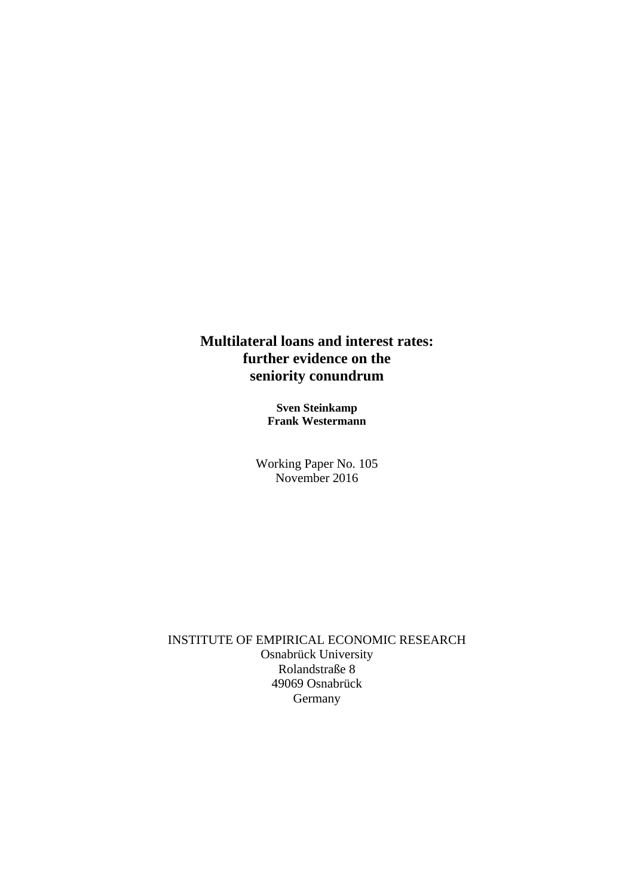# **Multilateral loans and interest rates: further evidence on the seniority conundrum**

**Sven Steinkamp Frank Westermann**

Working Paper No. 105 November 2016

INSTITUTE OF EMPIRICAL ECONOMIC RESEARCH Osnabrück University Rolandstraße 8 49069 Osnabrück Germany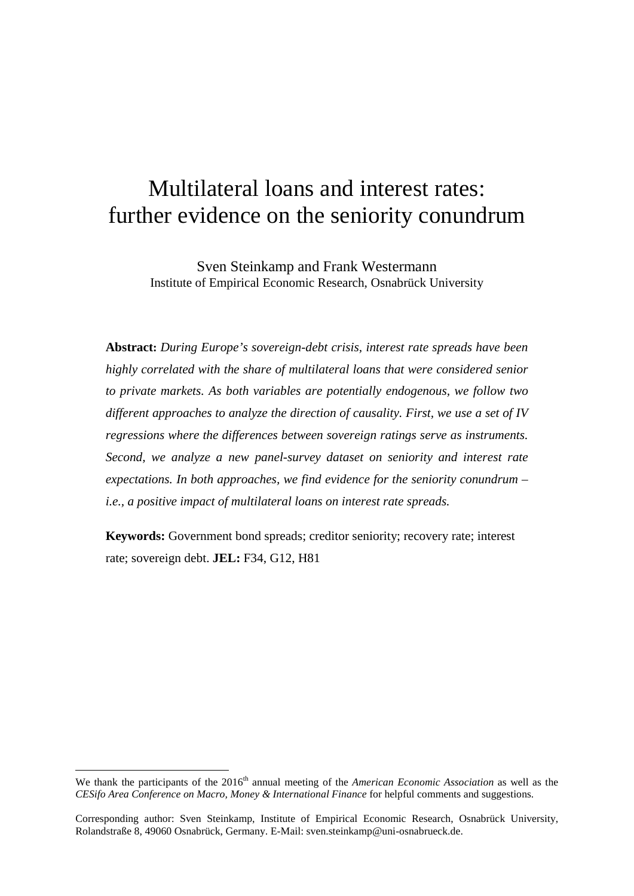# Multilateral loans and interest rates: further evidence on the seniority conundrum

Sven Steinkamp and Frank Westermann Institute of Empirical Economic Research, Osnabrück University

**Abstract:** *During Europe's sovereign-debt crisis, interest rate spreads have been highly correlated with the share of multilateral loans that were considered senior to private markets. As both variables are potentially endogenous, we follow two different approaches to analyze the direction of causality. First, we use a set of IV regressions where the differences between sovereign ratings serve as instruments. Second, we analyze a new panel-survey dataset on seniority and interest rate expectations. In both approaches, we find evidence for the seniority conundrum – i.e., a positive impact of multilateral loans on interest rate spreads.*

**Keywords:** Government bond spreads; creditor seniority; recovery rate; interest rate; sovereign debt. **JEL:** F34, G12, H81

<u>.</u>

<span id="page-1-0"></span>We thank the participants of the 2016<sup>th</sup> annual meeting of the *American Economic Association* as well as the *CESifo Area Conference on Macro, Money & International Finance* for helpful comments and suggestions.

Corresponding author: Sven Steinkamp, Institute of Empirical Economic Research, Osnabrück University, Rolandstraße 8, 49060 Osnabrück, Germany. E-Mail: sven.steinkamp@uni-osnabrueck.de.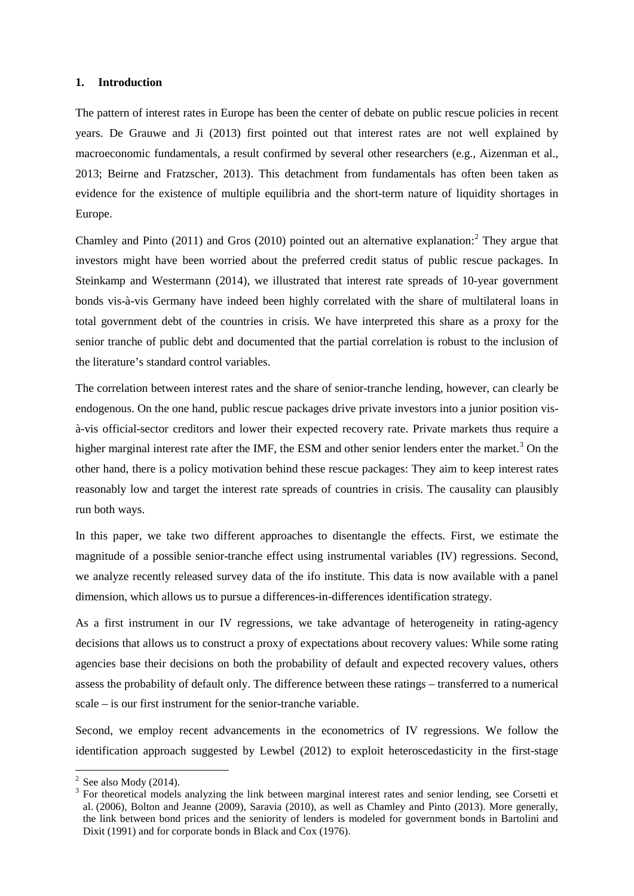#### **1. Introduction**

The pattern of interest rates in Europe has been the center of debate on public rescue policies in recent years. De Grauwe and Ji (2013) first pointed out that interest rates are not well explained by macroeconomic fundamentals, a result confirmed by several other researchers (e.g., Aizenman et al., 2013; Beirne and Fratzscher, 2013). This detachment from fundamentals has often been taken as evidence for the existence of multiple equilibria and the short-term nature of liquidity shortages in Europe.

Chamley and Pinto ([2](#page-2-0)011) and Gros (2010) pointed out an alternative explanation:<sup>2</sup> They argue that investors might have been worried about the preferred credit status of public rescue packages. In Steinkamp and Westermann (2014), we illustrated that interest rate spreads of 10-year government bonds vis-à-vis Germany have indeed been highly correlated with the share of multilateral loans in total government debt of the countries in crisis. We have interpreted this share as a proxy for the senior tranche of public debt and documented that the partial correlation is robust to the inclusion of the literature's standard control variables.

The correlation between interest rates and the share of senior-tranche lending, however, can clearly be endogenous. On the one hand, public rescue packages drive private investors into a junior position visà-vis official-sector creditors and lower their expected recovery rate. Private markets thus require a higher marginal interest rate after the IMF, the ESM and other senior lenders enter the market.<sup>[3](#page-2-1)</sup> On the other hand, there is a policy motivation behind these rescue packages: They aim to keep interest rates reasonably low and target the interest rate spreads of countries in crisis. The causality can plausibly run both ways.

In this paper, we take two different approaches to disentangle the effects. First, we estimate the magnitude of a possible senior-tranche effect using instrumental variables (IV) regressions. Second, we analyze recently released survey data of the ifo institute. This data is now available with a panel dimension, which allows us to pursue a differences-in-differences identification strategy.

As a first instrument in our IV regressions, we take advantage of heterogeneity in rating-agency decisions that allows us to construct a proxy of expectations about recovery values: While some rating agencies base their decisions on both the probability of default and expected recovery values, others assess the probability of default only. The difference between these ratings – transferred to a numerical scale – is our first instrument for the senior-tranche variable.

Second, we employ recent advancements in the econometrics of IV regressions. We follow the identification approach suggested by Lewbel (2012) to exploit heteroscedasticity in the first-stage

<span id="page-2-1"></span>

<span id="page-2-0"></span><sup>&</sup>lt;sup>2</sup> See also Mody (2014).<br><sup>3</sup> For theoretical models analyzing the link between marginal interest rates and senior lending, see Corsetti et al. (2006), Bolton and Jeanne (2009), Saravia (2010), as well as Chamley and Pinto (2013). More generally, the link between bond prices and the seniority of lenders is modeled for government bonds in Bartolini and Dixit (1991) and for corporate bonds in Black and Cox (1976).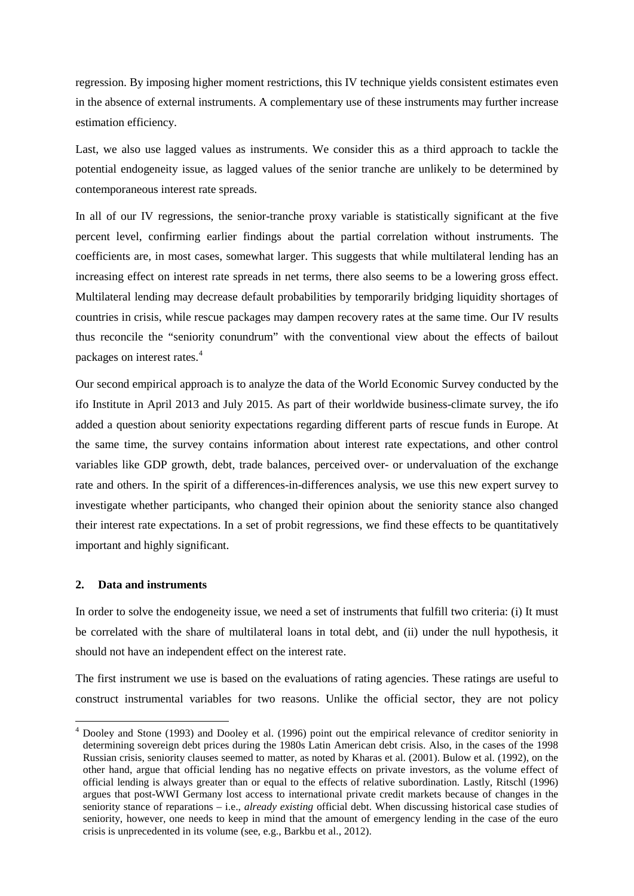regression. By imposing higher moment restrictions, this IV technique yields consistent estimates even in the absence of external instruments. A complementary use of these instruments may further increase estimation efficiency.

Last, we also use lagged values as instruments. We consider this as a third approach to tackle the potential endogeneity issue, as lagged values of the senior tranche are unlikely to be determined by contemporaneous interest rate spreads.

In all of our IV regressions, the senior-tranche proxy variable is statistically significant at the five percent level, confirming earlier findings about the partial correlation without instruments. The coefficients are, in most cases, somewhat larger. This suggests that while multilateral lending has an increasing effect on interest rate spreads in net terms, there also seems to be a lowering gross effect. Multilateral lending may decrease default probabilities by temporarily bridging liquidity shortages of countries in crisis, while rescue packages may dampen recovery rates at the same time. Our IV results thus reconcile the "seniority conundrum" with the conventional view about the effects of bailout packages on interest rates.<sup>[4](#page-3-0)</sup>

Our second empirical approach is to analyze the data of the World Economic Survey conducted by the ifo Institute in April 2013 and July 2015. As part of their worldwide business-climate survey, the ifo added a question about seniority expectations regarding different parts of rescue funds in Europe. At the same time, the survey contains information about interest rate expectations, and other control variables like GDP growth, debt, trade balances, perceived over- or undervaluation of the exchange rate and others. In the spirit of a differences-in-differences analysis, we use this new expert survey to investigate whether participants, who changed their opinion about the seniority stance also changed their interest rate expectations. In a set of probit regressions, we find these effects to be quantitatively important and highly significant.

#### **2. Data and instruments**

In order to solve the endogeneity issue, we need a set of instruments that fulfill two criteria: (i) It must be correlated with the share of multilateral loans in total debt, and (ii) under the null hypothesis, it should not have an independent effect on the interest rate.

The first instrument we use is based on the evaluations of rating agencies. These ratings are useful to construct instrumental variables for two reasons. Unlike the official sector, they are not policy

<span id="page-3-0"></span> <sup>4</sup> Dooley and Stone (1993) and Dooley et al. (1996) point out the empirical relevance of creditor seniority in determining sovereign debt prices during the 1980s Latin American debt crisis. Also, in the cases of the 1998 Russian crisis, seniority clauses seemed to matter, as noted by Kharas et al. (2001). Bulow et al. (1992), on the other hand, argue that official lending has no negative effects on private investors, as the volume effect of official lending is always greater than or equal to the effects of relative subordination. Lastly, Ritschl (1996) argues that post-WWI Germany lost access to international private credit markets because of changes in the seniority stance of reparations – i.e., *already existing* official debt. When discussing historical case studies of seniority, however, one needs to keep in mind that the amount of emergency lending in the case of the euro crisis is unprecedented in its volume (see, e.g., Barkbu et al., 2012).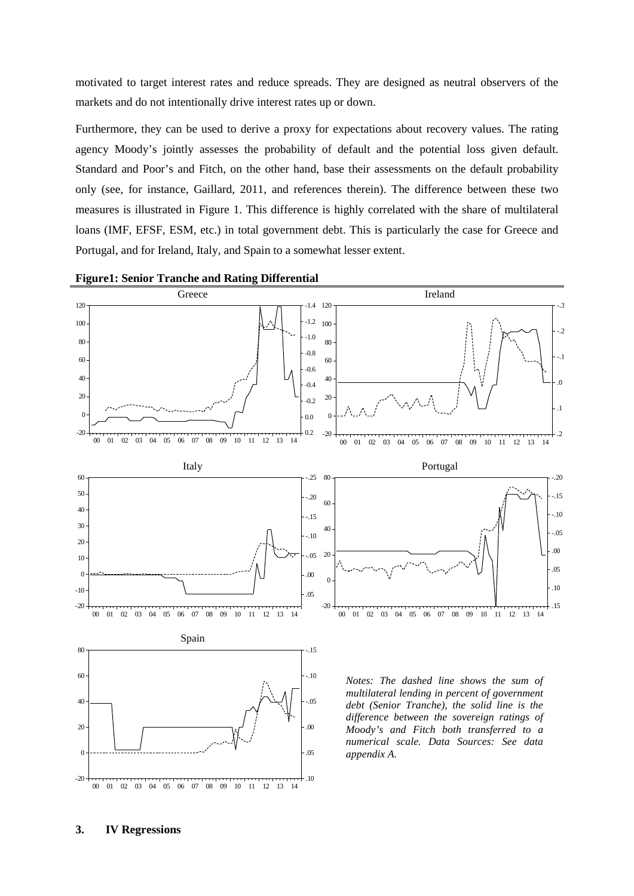motivated to target interest rates and reduce spreads. They are designed as neutral observers of the markets and do not intentionally drive interest rates up or down.

Furthermore, they can be used to derive a proxy for expectations about recovery values. The rating agency Moody's jointly assesses the probability of default and the potential loss given default. Standard and Poor's and Fitch, on the other hand, base their assessments on the default probability only (see, for instance, Gaillard, 2011, and references therein). The difference between these two measures is illustrated in Figure 1. This difference is highly correlated with the share of multilateral loans (IMF, EFSF, ESM, etc.) in total government debt. This is particularly the case for Greece and Portugal, and for Ireland, Italy, and Spain to a somewhat lesser extent.



#### **Figure1: Senior Tranche and Rating Differential**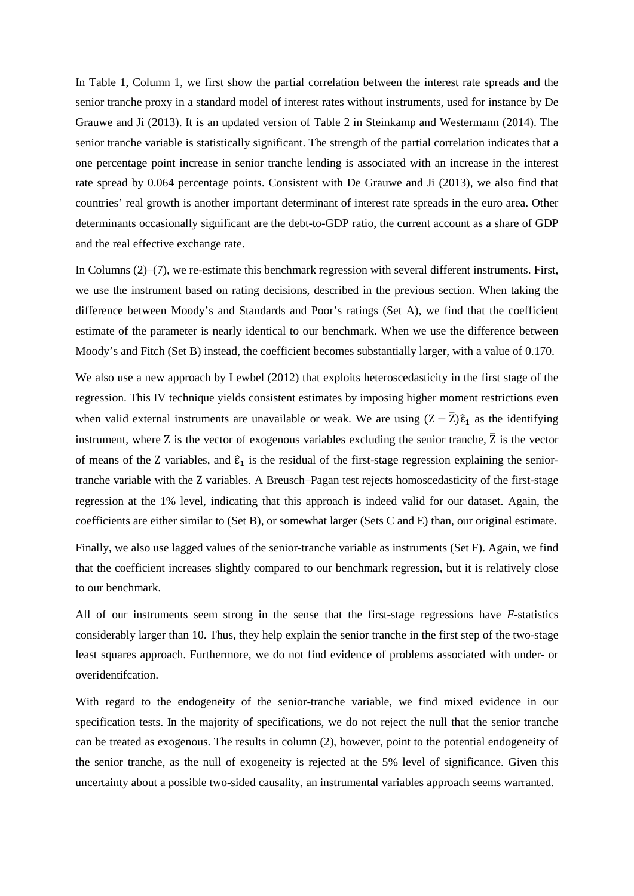In Table 1, Column 1, we first show the partial correlation between the interest rate spreads and the senior tranche proxy in a standard model of interest rates without instruments, used for instance by De Grauwe and Ji (2013). It is an updated version of Table 2 in Steinkamp and Westermann (2014). The senior tranche variable is statistically significant. The strength of the partial correlation indicates that a one percentage point increase in senior tranche lending is associated with an increase in the interest rate spread by 0.064 percentage points. Consistent with De Grauwe and Ji (2013), we also find that countries' real growth is another important determinant of interest rate spreads in the euro area. Other determinants occasionally significant are the debt-to-GDP ratio, the current account as a share of GDP and the real effective exchange rate.

In Columns (2)–(7), we re-estimate this benchmark regression with several different instruments. First, we use the instrument based on rating decisions, described in the previous section. When taking the difference between Moody's and Standards and Poor's ratings (Set A), we find that the coefficient estimate of the parameter is nearly identical to our benchmark. When we use the difference between Moody's and Fitch (Set B) instead, the coefficient becomes substantially larger, with a value of 0.170.

We also use a new approach by Lewbel (2012) that exploits heteroscedasticity in the first stage of the regression. This IV technique yields consistent estimates by imposing higher moment restrictions even when valid external instruments are unavailable or weak. We are using  $(Z - \bar{Z})\hat{\epsilon}_1$  as the identifying instrument, where  $Z$  is the vector of exogenous variables excluding the senior tranche,  $\bar{Z}$  is the vector of means of the Z variables, and  $\hat{\epsilon}_1$  is the residual of the first-stage regression explaining the seniortranche variable with the Z variables. A Breusch–Pagan test rejects homoscedasticity of the first-stage regression at the 1% level, indicating that this approach is indeed valid for our dataset. Again, the coefficients are either similar to (Set B), or somewhat larger (Sets C and E) than, our original estimate.

Finally, we also use lagged values of the senior-tranche variable as instruments (Set F). Again, we find that the coefficient increases slightly compared to our benchmark regression, but it is relatively close to our benchmark.

All of our instruments seem strong in the sense that the first-stage regressions have *F*-statistics considerably larger than 10. Thus, they help explain the senior tranche in the first step of the two-stage least squares approach. Furthermore, we do not find evidence of problems associated with under- or overidentifcation.

With regard to the endogeneity of the senior-tranche variable, we find mixed evidence in our specification tests. In the majority of specifications, we do not reject the null that the senior tranche can be treated as exogenous. The results in column (2), however, point to the potential endogeneity of the senior tranche, as the null of exogeneity is rejected at the 5% level of significance. Given this uncertainty about a possible two-sided causality, an instrumental variables approach seems warranted.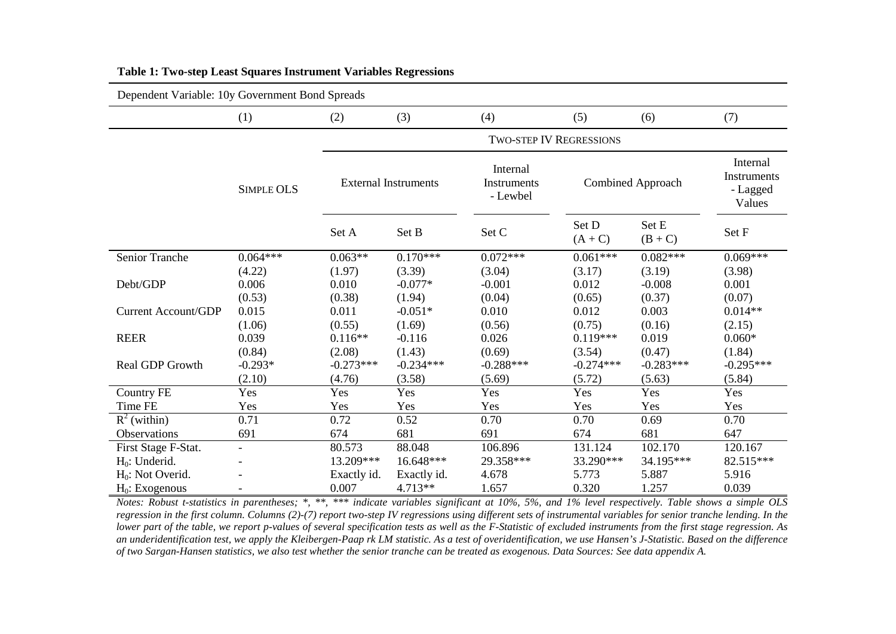| Dependent Variable: 10y Government Bond Spreads |                   |                                |             |                                     |                   |                  |                                               |
|-------------------------------------------------|-------------------|--------------------------------|-------------|-------------------------------------|-------------------|------------------|-----------------------------------------------|
|                                                 | (1)               | (2)                            | (3)         | (4)                                 | (5)               | (6)              | (7)                                           |
|                                                 |                   | <b>TWO-STEP IV REGRESSIONS</b> |             |                                     |                   |                  |                                               |
|                                                 | <b>SIMPLE OLS</b> | <b>External Instruments</b>    |             | Internal<br>Instruments<br>- Lewbel | Combined Approach |                  | Internal<br>Instruments<br>- Lagged<br>Values |
|                                                 |                   | Set A                          | Set B       | Set C                               | Set D<br>$(A+C)$  | Set E<br>$(B+C)$ | Set F                                         |
| Senior Tranche                                  | $0.064***$        | $0.063**$                      | $0.170***$  | $0.072***$                          | $0.061***$        | $0.082***$       | $0.069***$                                    |
|                                                 | (4.22)            | (1.97)                         | (3.39)      | (3.04)                              | (3.17)            | (3.19)           | (3.98)                                        |
| Debt/GDP                                        | 0.006             | 0.010                          | $-0.077*$   | $-0.001$                            | 0.012             | $-0.008$         | 0.001                                         |
|                                                 | (0.53)            | (0.38)                         | (1.94)      | (0.04)                              | (0.65)            | (0.37)           | (0.07)                                        |
| <b>Current Account/GDP</b>                      | 0.015             | 0.011                          | $-0.051*$   | 0.010                               | 0.012             | 0.003            | $0.014**$                                     |
|                                                 | (1.06)            | (0.55)                         | (1.69)      | (0.56)                              | (0.75)            | (0.16)           | (2.15)                                        |
| <b>REER</b>                                     | 0.039             | $0.116**$                      | $-0.116$    | 0.026                               | $0.119***$        | 0.019            | $0.060*$                                      |
|                                                 | (0.84)            | (2.08)                         | (1.43)      | (0.69)                              | (3.54)            | (0.47)           | (1.84)                                        |
| <b>Real GDP Growth</b>                          | $-0.293*$         | $-0.273***$                    | $-0.234***$ | $-0.288***$                         | $-0.274***$       | $-0.283***$      | $-0.295***$                                   |
|                                                 | (2.10)            | (4.76)                         | (3.58)      | (5.69)                              | (5.72)            | (5.63)           | (5.84)                                        |
| <b>Country FE</b>                               | Yes               | Yes                            | Yes         | Yes                                 | Yes               | Yes              | Yes                                           |
| Time FE                                         | Yes               | Yes                            | Yes         | Yes                                 | Yes               | Yes              | Yes                                           |
| $R^2$ (within)                                  | 0.71              | 0.72                           | 0.52        | 0.70                                | 0.70              | 0.69             | 0.70                                          |
| Observations                                    | 691               | 674                            | 681         | 691                                 | 674               | 681              | 647                                           |
| First Stage F-Stat.                             | $\blacksquare$    | 80.573                         | 88.048      | 106.896                             | 131.124           | 102.170          | 120.167                                       |
| $H_0$ : Underid.                                |                   | 13.209***                      | 16.648***   | 29.358***                           | 33.290***         | 34.195***        | 82.515***                                     |
| $H_0$ : Not Overid.                             |                   | Exactly id.                    | Exactly id. | 4.678                               | 5.773             | 5.887            | 5.916                                         |
| $H_0$ : Exogenous                               |                   | 0.007                          | $4.713**$   | 1.657                               | 0.320             | 1.257            | 0.039                                         |

#### **Table 1: Two-step Least Squares Instrument Variables Regressions**

*Notes: Robust t-statistics in parentheses; \*, \*\*, \*\*\* indicate variables significant at 10%, 5%, and 1% level respectively. Table shows a simple OLS regression in the first column. Columns (2)-(7) report two-step IV regressions using different sets of instrumental variables for senior tranche lending. In the lower part of the table, we report p-values of several specification tests as well as the F-Statistic of excluded instruments from the first stage regression. As an underidentification test, we apply the Kleibergen-Paap rk LM statistic. As a test of overidentification, we use Hansen's J-Statistic. Based on the difference of two Sargan-Hansen statistics, we also test whether the senior tranche can be treated as exogenous. Data Sources: See data appendix A.*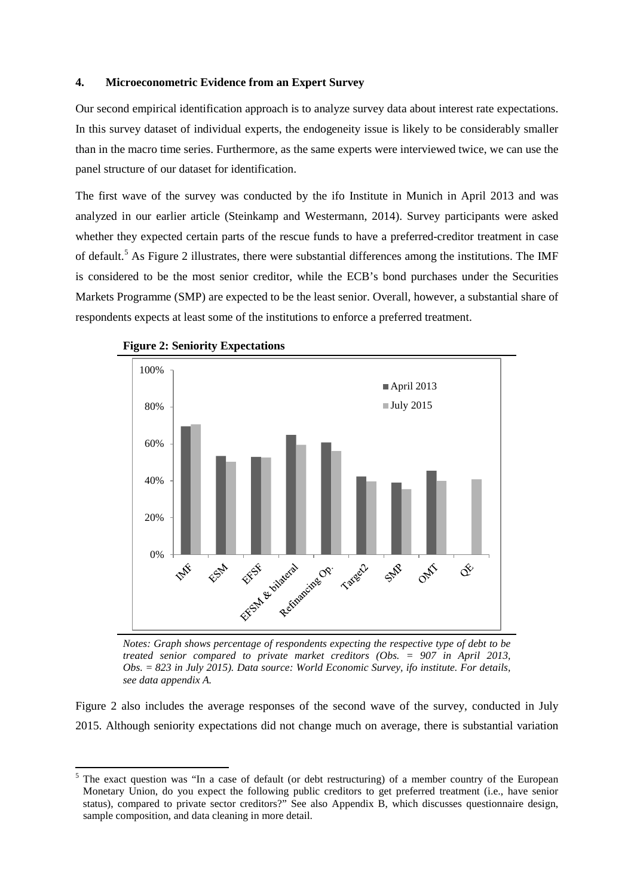# **4. Microeconometric Evidence from an Expert Survey**

Our second empirical identification approach is to analyze survey data about interest rate expectations. In this survey dataset of individual experts, the endogeneity issue is likely to be considerably smaller than in the macro time series. Furthermore, as the same experts were interviewed twice, we can use the panel structure of our dataset for identification.

The first wave of the survey was conducted by the ifo Institute in Munich in April 2013 and was analyzed in our earlier article (Steinkamp and Westermann, 2014). Survey participants were asked whether they expected certain parts of the rescue funds to have a preferred-creditor treatment in case of default.[5](#page-7-0) As Figure 2 illustrates, there were substantial differences among the institutions. The IMF is considered to be the most senior creditor, while the ECB's bond purchases under the Securities Markets Programme (SMP) are expected to be the least senior. Overall, however, a substantial share of respondents expects at least some of the institutions to enforce a preferred treatment.





*Notes: Graph shows percentage of respondents expecting the respective type of debt to be treated senior compared to private market creditors (Obs. = 907 in April 2013, Obs. = 823 in July 2015). Data source: World Economic Survey, ifo institute. For details, see data appendix A.*

Figure 2 also includes the average responses of the second wave of the survey, conducted in July 2015. Although seniority expectations did not change much on average, there is substantial variation

<span id="page-7-0"></span> <sup>5</sup> The exact question was "In a case of default (or debt restructuring) of a member country of the European Monetary Union, do you expect the following public creditors to get preferred treatment (i.e., have senior status), compared to private sector creditors?" See also Appendix B, which discusses questionnaire design, sample composition, and data cleaning in more detail.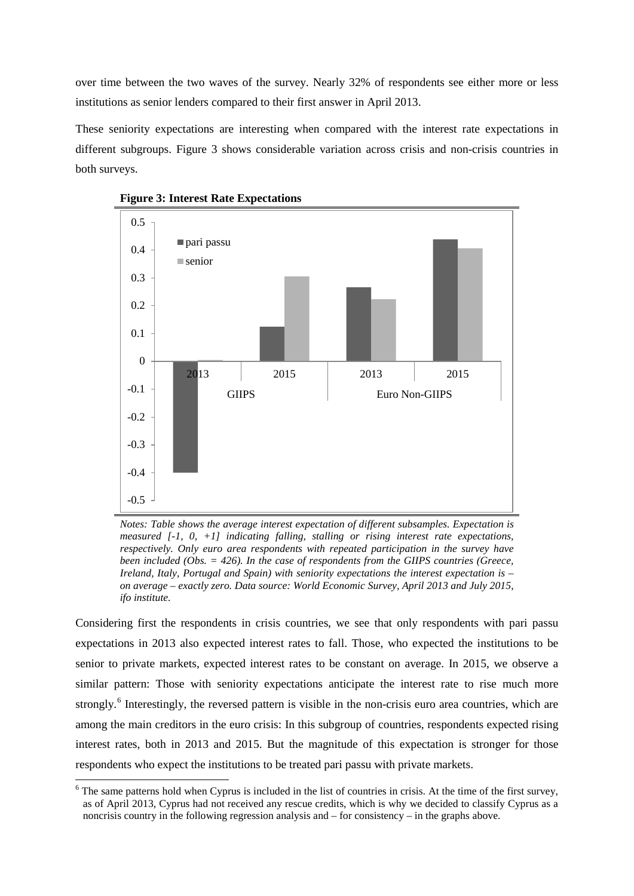over time between the two waves of the survey. Nearly 32% of respondents see either more or less institutions as senior lenders compared to their first answer in April 2013.

These seniority expectations are interesting when compared with the interest rate expectations in different subgroups. Figure 3 shows considerable variation across crisis and non-crisis countries in both surveys.





*Notes: Table shows the average interest expectation of different subsamples. Expectation is measured [-1, 0, +1] indicating falling, stalling or rising interest rate expectations, respectively. Only euro area respondents with repeated participation in the survey have been included (Obs. = 426). In the case of respondents from the GIIPS countries (Greece, Ireland, Italy, Portugal and Spain) with seniority expectations the interest expectation is – on average – exactly zero. Data source: World Economic Survey, April 2013 and July 2015, ifo institute.*

Considering first the respondents in crisis countries, we see that only respondents with pari passu expectations in 2013 also expected interest rates to fall. Those, who expected the institutions to be senior to private markets, expected interest rates to be constant on average. In 2015, we observe a similar pattern: Those with seniority expectations anticipate the interest rate to rise much more strongly.<sup>[6](#page-8-0)</sup> Interestingly, the reversed pattern is visible in the non-crisis euro area countries, which are among the main creditors in the euro crisis: In this subgroup of countries, respondents expected rising interest rates, both in 2013 and 2015. But the magnitude of this expectation is stronger for those respondents who expect the institutions to be treated pari passu with private markets.

<span id="page-8-0"></span> $6$  The same patterns hold when Cyprus is included in the list of countries in crisis. At the time of the first survey, as of April 2013, Cyprus had not received any rescue credits, which is why we decided to classify Cyprus as a noncrisis country in the following regression analysis and – for consistency – in the graphs above.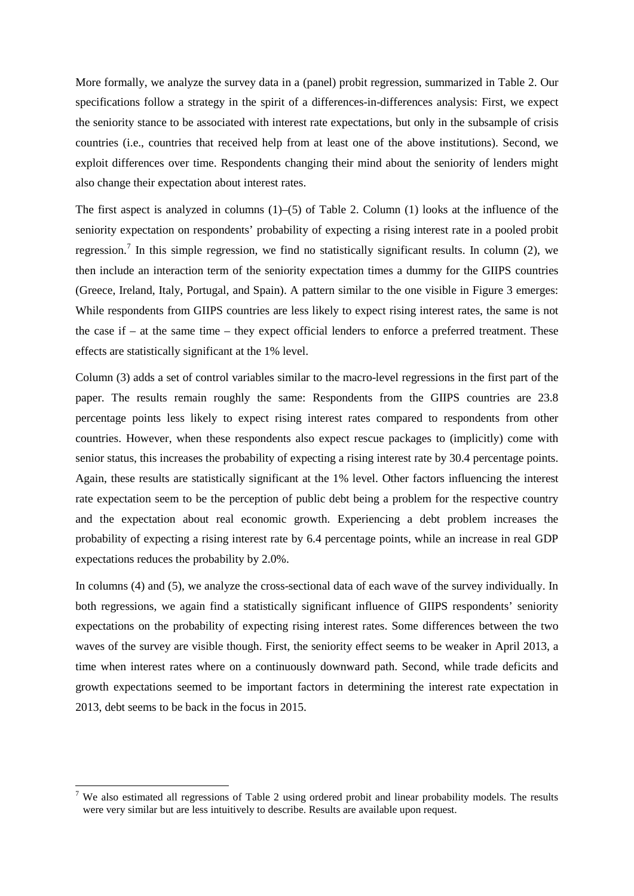More formally, we analyze the survey data in a (panel) probit regression, summarized in Table 2. Our specifications follow a strategy in the spirit of a differences-in-differences analysis: First, we expect the seniority stance to be associated with interest rate expectations, but only in the subsample of crisis countries (i.e., countries that received help from at least one of the above institutions). Second, we exploit differences over time. Respondents changing their mind about the seniority of lenders might also change their expectation about interest rates.

The first aspect is analyzed in columns (1)–(5) of Table 2. Column (1) looks at the influence of the seniority expectation on respondents' probability of expecting a rising interest rate in a pooled probit regression.<sup>[7](#page-9-0)</sup> In this simple regression, we find no statistically significant results. In column (2), we then include an interaction term of the seniority expectation times a dummy for the GIIPS countries (Greece, Ireland, Italy, Portugal, and Spain). A pattern similar to the one visible in Figure 3 emerges: While respondents from GIIPS countries are less likely to expect rising interest rates, the same is not the case if – at the same time – they expect official lenders to enforce a preferred treatment. These effects are statistically significant at the 1% level.

Column (3) adds a set of control variables similar to the macro-level regressions in the first part of the paper. The results remain roughly the same: Respondents from the GIIPS countries are 23.8 percentage points less likely to expect rising interest rates compared to respondents from other countries. However, when these respondents also expect rescue packages to (implicitly) come with senior status, this increases the probability of expecting a rising interest rate by 30.4 percentage points. Again, these results are statistically significant at the 1% level. Other factors influencing the interest rate expectation seem to be the perception of public debt being a problem for the respective country and the expectation about real economic growth. Experiencing a debt problem increases the probability of expecting a rising interest rate by 6.4 percentage points, while an increase in real GDP expectations reduces the probability by 2.0%.

In columns (4) and (5), we analyze the cross-sectional data of each wave of the survey individually. In both regressions, we again find a statistically significant influence of GIIPS respondents' seniority expectations on the probability of expecting rising interest rates. Some differences between the two waves of the survey are visible though. First, the seniority effect seems to be weaker in April 2013, a time when interest rates where on a continuously downward path. Second, while trade deficits and growth expectations seemed to be important factors in determining the interest rate expectation in 2013, debt seems to be back in the focus in 2015.

<span id="page-9-0"></span><sup>&</sup>lt;sup>7</sup> We also estimated all regressions of Table 2 using ordered probit and linear probability models. The results were very similar but are less intuitively to describe. Results are available upon request.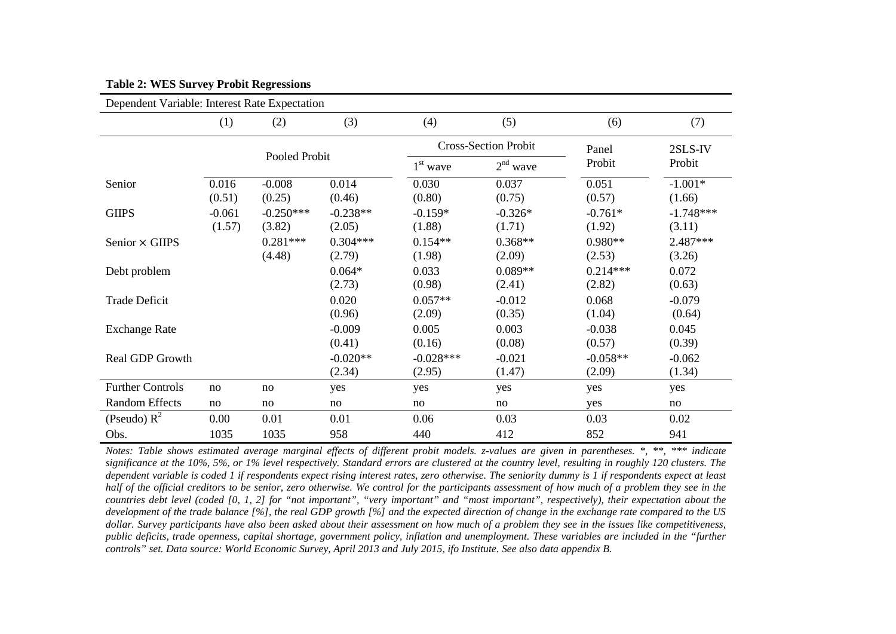| Dependent Variable: Interest Rate Expectation |          |               |            |             |                             |            |             |
|-----------------------------------------------|----------|---------------|------------|-------------|-----------------------------|------------|-------------|
|                                               | (1)      | (2)           | (3)        | (4)         | (5)                         | (6)        | (7)         |
|                                               |          | Pooled Probit |            |             | <b>Cross-Section Probit</b> |            | 2SLS-IV     |
|                                               |          |               |            | $1st$ wave  | $2nd$ wave                  | Probit     | Probit      |
| Senior                                        | 0.016    | $-0.008$      | 0.014      | 0.030       | 0.037                       | 0.051      | $-1.001*$   |
|                                               | (0.51)   | (0.25)        | (0.46)     | (0.80)      | (0.75)                      | (0.57)     | (1.66)      |
| <b>GIIPS</b>                                  | $-0.061$ | $-0.250***$   | $-0.238**$ | $-0.159*$   | $-0.326*$                   | $-0.761*$  | $-1.748***$ |
|                                               | (1.57)   | (3.82)        | (2.05)     | (1.88)      | (1.71)                      | (1.92)     | (3.11)      |
| Senior × GIIPS                                |          | $0.281***$    | $0.304***$ | $0.154**$   | $0.368**$                   | $0.980**$  | 2.487***    |
|                                               |          | (4.48)        | (2.79)     | (1.98)      | (2.09)                      | (2.53)     | (3.26)      |
| Debt problem                                  |          |               | $0.064*$   | 0.033       | $0.089**$                   | $0.214***$ | 0.072       |
|                                               |          |               | (2.73)     | (0.98)      | (2.41)                      | (2.82)     | (0.63)      |
| <b>Trade Deficit</b>                          |          |               | 0.020      | $0.057**$   | $-0.012$                    | 0.068      | $-0.079$    |
|                                               |          |               | (0.96)     | (2.09)      | (0.35)                      | (1.04)     | (0.64)      |
| <b>Exchange Rate</b>                          |          |               | $-0.009$   | 0.005       | 0.003                       | $-0.038$   | 0.045       |
|                                               |          |               | (0.41)     | (0.16)      | (0.08)                      | (0.57)     | (0.39)      |
| Real GDP Growth                               |          |               | $-0.020**$ | $-0.028***$ | $-0.021$                    | $-0.058**$ | $-0.062$    |
|                                               |          |               | (2.34)     | (2.95)      | (1.47)                      | (2.09)     | (1.34)      |
| <b>Further Controls</b>                       | no       | no            | yes        | yes         | yes                         | yes        | yes         |
| <b>Random Effects</b>                         | no       | no            | no         | no          | no                          | yes        | no          |
| (Pseudo) $R^2$                                | 0.00     | 0.01          | 0.01       | 0.06        | 0.03                        | 0.03       | 0.02        |
| Obs.                                          | 1035     | 1035          | 958        | 440         | 412                         | 852        | 941         |

#### **Table 2: WES Survey Probit Regressions**

*Notes: Table shows estimated average marginal effects of different probit models. z-values are given in parentheses. \*, \*\*, \*\*\* indicate significance at the 10%, 5%, or 1% level respectively. Standard errors are clustered at the country level, resulting in roughly 120 clusters. The dependent variable is coded 1 if respondents expect rising interest rates, zero otherwise. The seniority dummy is 1 if respondents expect at least half of the official creditors to be senior, zero otherwise. We control for the participants assessment of how much of a problem they see in the countries debt level (coded [0, 1, 2] for "not important", "very important" and "most important", respectively), their expectation about the development of the trade balance [%], the real GDP growth [%] and the expected direction of change in the exchange rate compared to the US*  dollar. Survey participants have also been asked about their assessment on how much of a problem they see in the issues like competitiveness. *public deficits, trade openness, capital shortage, government policy, inflation and unemployment. These variables are included in the "further controls" set. Data source: World Economic Survey, April 2013 and July 2015, ifo Institute. See also data appendix B.*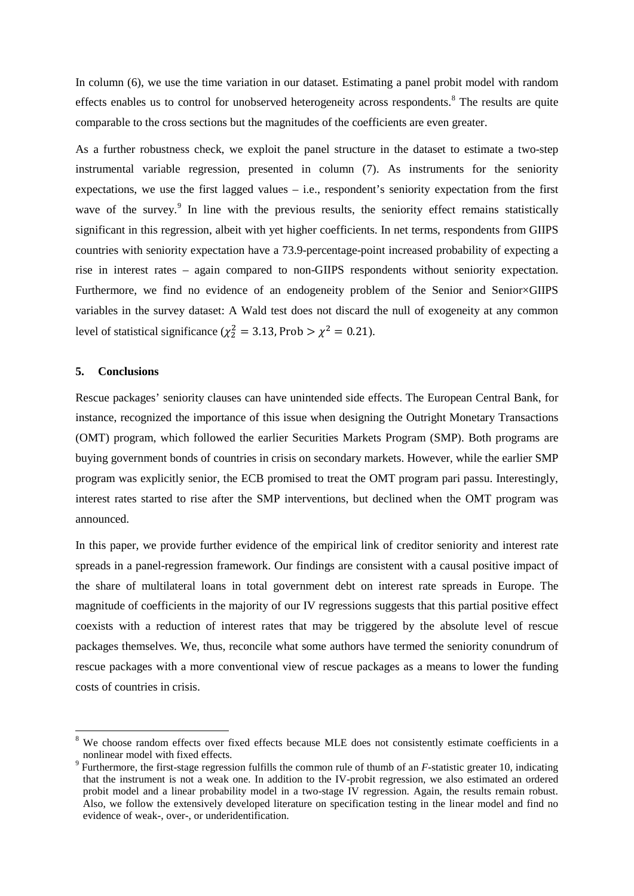In column (6), we use the time variation in our dataset. Estimating a panel probit model with random effects enables us to control for unobserved heterogeneity across respondents.<sup>[8](#page-11-0)</sup> The results are quite comparable to the cross sections but the magnitudes of the coefficients are even greater.

As a further robustness check, we exploit the panel structure in the dataset to estimate a two-step instrumental variable regression, presented in column (7). As instruments for the seniority expectations, we use the first lagged values – i.e., respondent's seniority expectation from the first wave of the survey.<sup>[9](#page-11-1)</sup> In line with the previous results, the seniority effect remains statistically significant in this regression, albeit with yet higher coefficients. In net terms, respondents from GIIPS countries with seniority expectation have a 73.9-percentage-point increased probability of expecting a rise in interest rates – again compared to non-GIIPS respondents without seniority expectation. Furthermore, we find no evidence of an endogeneity problem of the Senior and Senior×GIIPS variables in the survey dataset: A Wald test does not discard the null of exogeneity at any common level of statistical significance ( $\chi^2$  = 3.13, Prob >  $\chi^2$  = 0.21).

### **5. Conclusions**

Rescue packages' seniority clauses can have unintended side effects. The European Central Bank, for instance, recognized the importance of this issue when designing the Outright Monetary Transactions (OMT) program, which followed the earlier Securities Markets Program (SMP). Both programs are buying government bonds of countries in crisis on secondary markets. However, while the earlier SMP program was explicitly senior, the ECB promised to treat the OMT program pari passu. Interestingly, interest rates started to rise after the SMP interventions, but declined when the OMT program was announced.

In this paper, we provide further evidence of the empirical link of creditor seniority and interest rate spreads in a panel-regression framework. Our findings are consistent with a causal positive impact of the share of multilateral loans in total government debt on interest rate spreads in Europe. The magnitude of coefficients in the majority of our IV regressions suggests that this partial positive effect coexists with a reduction of interest rates that may be triggered by the absolute level of rescue packages themselves. We, thus, reconcile what some authors have termed the seniority conundrum of rescue packages with a more conventional view of rescue packages as a means to lower the funding costs of countries in crisis.

<span id="page-11-0"></span>We choose random effects over fixed effects because MLE does not consistently estimate coefficients in a nonlinear model with fixed effects.

<span id="page-11-1"></span><sup>&</sup>lt;sup>9</sup> Furthermore, the first-stage regression fulfills the common rule of thumb of an  $F$ -statistic greater 10, indicating that the instrument is not a weak one. In addition to the IV-probit regression, we also estimated an ordered probit model and a linear probability model in a two-stage IV regression. Again, the results remain robust. Also, we follow the extensively developed literature on specification testing in the linear model and find no evidence of weak-, over-, or underidentification.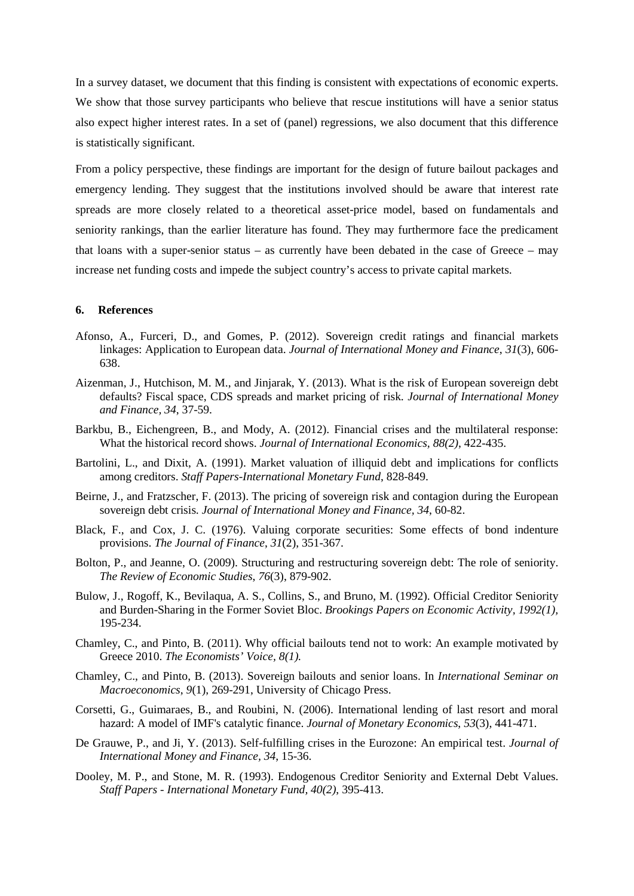In a survey dataset, we document that this finding is consistent with expectations of economic experts. We show that those survey participants who believe that rescue institutions will have a senior status also expect higher interest rates. In a set of (panel) regressions, we also document that this difference is statistically significant.

From a policy perspective, these findings are important for the design of future bailout packages and emergency lending. They suggest that the institutions involved should be aware that interest rate spreads are more closely related to a theoretical asset-price model, based on fundamentals and seniority rankings, than the earlier literature has found. They may furthermore face the predicament that loans with a super-senior status – as currently have been debated in the case of Greece – may increase net funding costs and impede the subject country's access to private capital markets.

#### **6. References**

- Afonso, A., Furceri, D., and Gomes, P. (2012). Sovereign credit ratings and financial markets linkages: Application to European data. *Journal of International Money and Finance*, *31*(3), 606- 638.
- Aizenman, J., Hutchison, M. M., and Jinjarak, Y. (2013). What is the risk of European sovereign debt defaults? Fiscal space, CDS spreads and market pricing of risk. *Journal of International Money and Finance, 34*, 37-59.
- Barkbu, B., Eichengreen, B., and Mody, A. (2012). Financial crises and the multilateral response: What the historical record shows. *Journal of International Economics, 88(2)*, 422-435.
- Bartolini, L., and Dixit, A. (1991). Market valuation of illiquid debt and implications for conflicts among creditors. *Staff Papers-International Monetary Fund*, 828-849.
- Beirne, J., and Fratzscher, F. (2013). The pricing of sovereign risk and contagion during the European sovereign debt crisis. *Journal of International Money and Finance, 34*, 60-82.
- Black, F., and Cox, J. C. (1976). Valuing corporate securities: Some effects of bond indenture provisions. *The Journal of Finance*, *31*(2), 351-367.
- Bolton, P., and Jeanne, O. (2009). Structuring and restructuring sovereign debt: The role of seniority. *The Review of Economic Studies*, *76*(3), 879-902.
- Bulow, J., Rogoff, K., Bevilaqua, A. S., Collins, S., and Bruno, M. (1992). Official Creditor Seniority and Burden-Sharing in the Former Soviet Bloc. *Brookings Papers on Economic Activity, 1992(1),*  195-234.
- Chamley, C., and Pinto, B. (2011). Why official bailouts tend not to work: An example motivated by Greece 2010. *The Economists' Voice, 8(1).*
- Chamley, C., and Pinto, B. (2013). Sovereign bailouts and senior loans. In *International Seminar on Macroeconomics*, *9*(1), 269-291, University of Chicago Press.
- Corsetti, G., Guimaraes, B., and Roubini, N. (2006). International lending of last resort and moral hazard: A model of IMF's catalytic finance. *Journal of Monetary Economics*, *53*(3), 441-471.
- De Grauwe, P., and Ji, Y. (2013). Self-fulfilling crises in the Eurozone: An empirical test. *Journal of International Money and Finance, 34*, 15-36.
- Dooley, M. P., and Stone, M. R. (1993). Endogenous Creditor Seniority and External Debt Values. *Staff Papers - International Monetary Fund, 40(2)*, 395-413.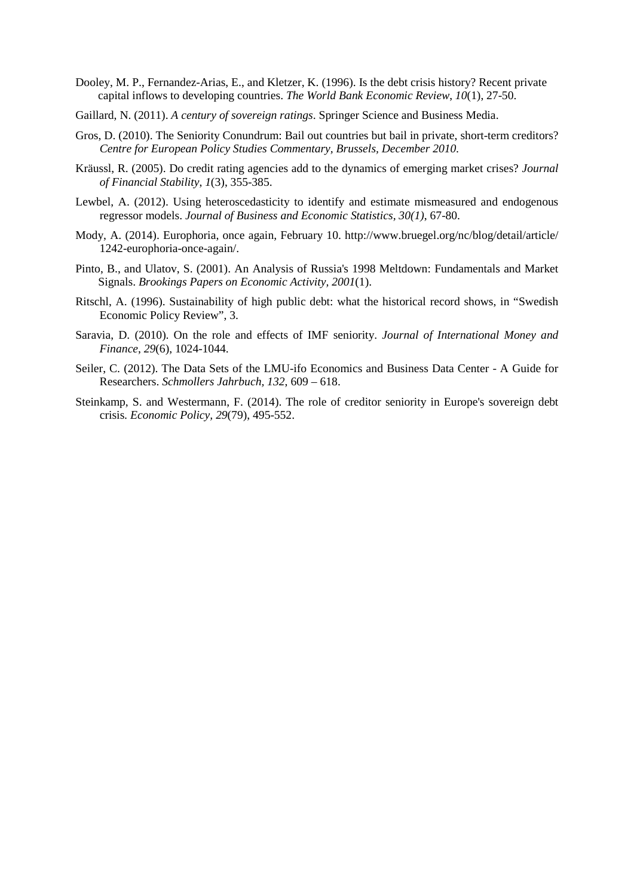- Dooley, M. P., Fernandez-Arias, E., and Kletzer, K. (1996). Is the debt crisis history? Recent private capital inflows to developing countries. *The World Bank Economic Review*, *10*(1), 27-50.
- Gaillard, N. (2011). *A century of sovereign ratings*. Springer Science and Business Media.
- Gros, D. (2010). The Seniority Conundrum: Bail out countries but bail in private, short-term creditors? *Centre for European Policy Studies Commentary, Brussels, December 2010.*
- Kräussl, R. (2005). Do credit rating agencies add to the dynamics of emerging market crises? *Journal of Financial Stability*, *1*(3), 355-385.
- Lewbel, A. (2012). Using heteroscedasticity to identify and estimate mismeasured and endogenous regressor models. *Journal of Business and Economic Statistics, 30(1)*, 67-80.
- Mody, A. (2014). Europhoria, once again, February 10. http://www.bruegel.org/nc/blog/detail/article/ 1242-europhoria-once-again/.
- Pinto, B., and Ulatov, S. (2001). An Analysis of Russia's 1998 Meltdown: Fundamentals and Market Signals. *Brookings Papers on Economic Activity, 2001*(1).
- Ritschl, A. (1996). Sustainability of high public debt: what the historical record shows, in "Swedish Economic Policy Review", 3.
- Saravia, D. (2010). On the role and effects of IMF seniority. *Journal of International Money and Finance*, *29*(6), 1024-1044.
- Seiler, C. (2012). The Data Sets of the LMU-ifo Economics and Business Data Center A Guide for Researchers. *Schmollers Jahrbuch, 132*, 609 – 618.
- Steinkamp, S. and Westermann, F. (2014). The role of creditor seniority in Europe's sovereign debt crisis. *Economic Policy, 29*(79), 495-552.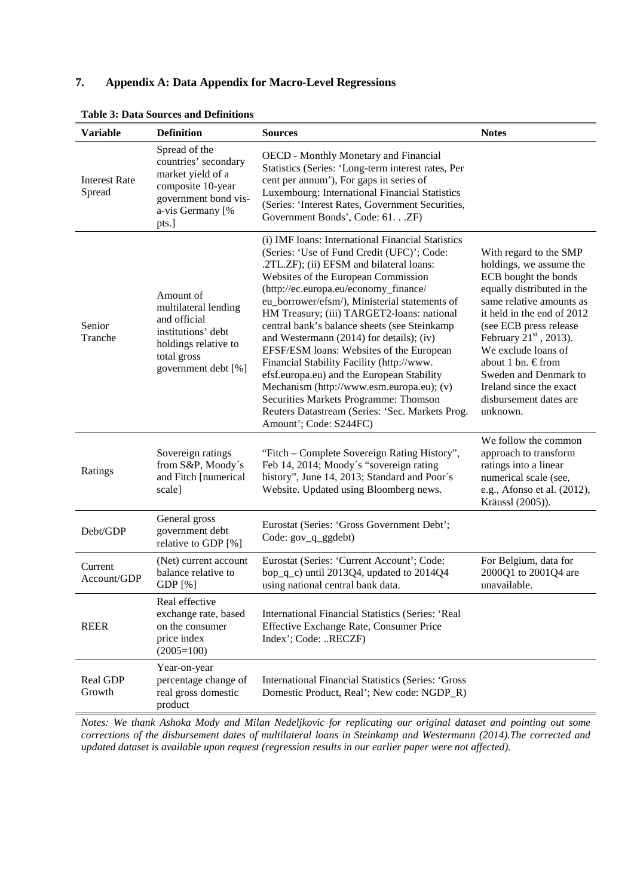# **7. Appendix A: Data Appendix for Macro-Level Regressions**

| <b>Variable</b>                | <b>Definition</b>                                                                                                                     | <b>Sources</b>                                                                                                                                                                                                                                                                                                                                                                                                                                                                                                                                                                                                                                                                                                                   | <b>Notes</b>                                                                                                                                                                                                                                                                                                                                                  |
|--------------------------------|---------------------------------------------------------------------------------------------------------------------------------------|----------------------------------------------------------------------------------------------------------------------------------------------------------------------------------------------------------------------------------------------------------------------------------------------------------------------------------------------------------------------------------------------------------------------------------------------------------------------------------------------------------------------------------------------------------------------------------------------------------------------------------------------------------------------------------------------------------------------------------|---------------------------------------------------------------------------------------------------------------------------------------------------------------------------------------------------------------------------------------------------------------------------------------------------------------------------------------------------------------|
| <b>Interest Rate</b><br>Spread | Spread of the<br>countries' secondary<br>market yield of a<br>composite 10-year<br>government bond vis-<br>a-vis Germany [%<br>pts.]  | <b>OECD</b> - Monthly Monetary and Financial<br>Statistics (Series: 'Long-term interest rates, Per<br>cent per annum'), For gaps in series of<br>Luxembourg: International Financial Statistics<br>(Series: 'Interest Rates, Government Securities,<br>Government Bonds', Code: 61. ZF)                                                                                                                                                                                                                                                                                                                                                                                                                                          |                                                                                                                                                                                                                                                                                                                                                               |
| Senior<br>Tranche              | Amount of<br>multilateral lending<br>and official<br>institutions' debt<br>holdings relative to<br>total gross<br>government debt [%] | (i) IMF loans: International Financial Statistics<br>(Series: 'Use of Fund Credit (UFC)'; Code:<br>.2TL.ZF); (ii) EFSM and bilateral loans:<br>Websites of the European Commission<br>(http://ec.europa.eu/economy_finance/<br>eu_borrower/efsm/), Ministerial statements of<br>HM Treasury; (iii) TARGET2-loans: national<br>central bank's balance sheets (see Steinkamp<br>and Westermann (2014) for details); (iv)<br>EFSF/ESM loans: Websites of the European<br>Financial Stability Facility (http://www.<br>efsf.europa.eu) and the European Stability<br>Mechanism (http://www.esm.europa.eu); (v)<br>Securities Markets Programme: Thomson<br>Reuters Datastream (Series: 'Sec. Markets Prog.<br>Amount'; Code: S244FC) | With regard to the SMP<br>holdings, we assume the<br>ECB bought the bonds<br>equally distributed in the<br>same relative amounts as<br>it held in the end of 2012<br>(see ECB press release<br>February $21st$ , 2013).<br>We exclude loans of<br>about 1 bn. €from<br>Sweden and Denmark to<br>Ireland since the exact<br>disbursement dates are<br>unknown. |
| Ratings                        | Sovereign ratings<br>from S&P, Moody's<br>and Fitch [numerical<br>scale]                                                              | "Fitch - Complete Sovereign Rating History",<br>Feb 14, 2014; Moody's "sovereign rating<br>history", June 14, 2013; Standard and Poor's<br>Website. Updated using Bloomberg news.                                                                                                                                                                                                                                                                                                                                                                                                                                                                                                                                                | We follow the common<br>approach to transform<br>ratings into a linear<br>numerical scale (see,<br>e.g., Afonso et al. (2012),<br>Kräussl (2005)).                                                                                                                                                                                                            |
| Debt/GDP                       | General gross<br>government debt<br>relative to GDP [%]                                                                               | Eurostat (Series: 'Gross Government Debt';<br>Code: gov_q_ggdebt)                                                                                                                                                                                                                                                                                                                                                                                                                                                                                                                                                                                                                                                                |                                                                                                                                                                                                                                                                                                                                                               |
| Current<br>Account/GDP         | (Net) current account<br>balance relative to<br>GDP [%]                                                                               | Eurostat (Series: 'Current Account'; Code:<br>bop_q_c) until 2013Q4, updated to 2014Q4<br>using national central bank data.                                                                                                                                                                                                                                                                                                                                                                                                                                                                                                                                                                                                      | For Belgium, data for<br>2000Q1 to 2001Q4 are<br>unavailable.                                                                                                                                                                                                                                                                                                 |
| <b>REER</b>                    | Real effective<br>exchange rate, based<br>on the consumer<br>price index<br>$(2005=100)$                                              | International Financial Statistics (Series: 'Real<br>Effective Exchange Rate, Consumer Price<br>Index'; Code: RECZF)                                                                                                                                                                                                                                                                                                                                                                                                                                                                                                                                                                                                             |                                                                                                                                                                                                                                                                                                                                                               |
| Real GDP<br>Growth             | Year-on-year<br>percentage change of<br>real gross domestic<br>product                                                                | <b>International Financial Statistics (Series: 'Gross</b><br>Domestic Product, Real'; New code: NGDP_R)                                                                                                                                                                                                                                                                                                                                                                                                                                                                                                                                                                                                                          |                                                                                                                                                                                                                                                                                                                                                               |

## **Table 3: Data Sources and Definitions**

*Notes: We thank Ashoka Mody and Milan Nedeljkovic for replicating our original dataset and pointing out some corrections of the disbursement dates of multilateral loans in Steinkamp and Westermann (2014).The corrected and updated dataset is available upon request (regression results in our earlier paper were not affected).*